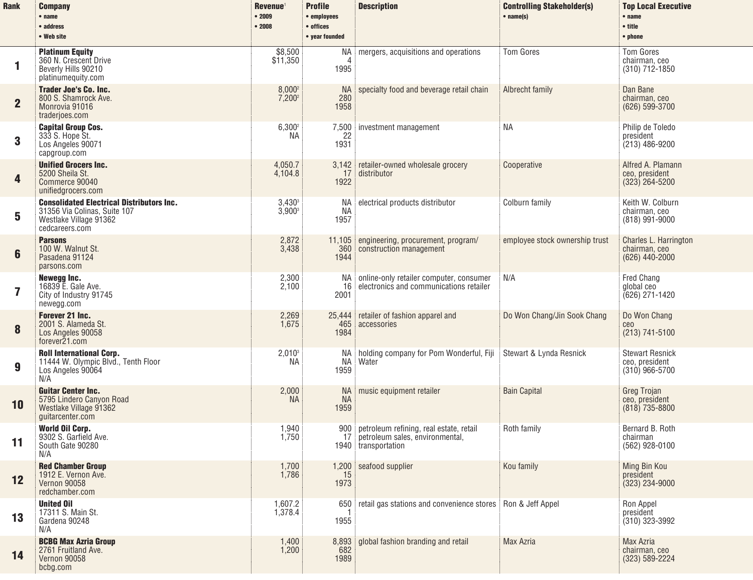| <b>Rank</b>  | <b>Company</b><br>$•$ name<br>• address<br>• Web site                                                                        | Revenue <sup>1</sup><br>•2009<br>•2008 | <b>Profile</b><br>• employees<br>• offices<br>• year founded | <b>Description</b>                                                                                | <b>Controlling Stakeholder(s)</b><br>$•$ name(s) | <b>Top Local Executive</b><br>• name<br>• title<br>• phone   |
|--------------|------------------------------------------------------------------------------------------------------------------------------|----------------------------------------|--------------------------------------------------------------|---------------------------------------------------------------------------------------------------|--------------------------------------------------|--------------------------------------------------------------|
| 1            | <b>Platinum Equity</b><br>360 N. Crescent Drive<br>Beverly Hills 90210<br>platinumequity.com                                 | \$8,500<br>\$11,350                    | NA<br>1995                                                   | mergers, acquisitions and operations                                                              | <b>Tom Gores</b>                                 | <b>Tom Gores</b><br>chairman, ceo<br>(310) 712-1850          |
| $\mathbf{2}$ | <b>Trader Joe's Co. Inc.</b><br>800 S. Shamrock Ave.<br>Monrovia 91016<br>traderjoes.com                                     | $8,000^2$<br>7,200 <sup>2</sup>        | NA.<br>280<br>1958                                           | specialty food and beverage retail chain                                                          | Albrecht family                                  | Dan Bane<br>chairman, ceo<br>(626) 599-3700                  |
| 3            | <b>Capital Group Cos.</b><br>333 S. Hope St.<br>Los Angeles 90071<br>capgroup.com                                            | $6,300^2$<br>NA.                       | 22<br>1931                                                   | 7,500 investment management                                                                       | <b>NA</b>                                        | Philip de Toledo<br>president<br>$(213)$ 486-9200            |
| 4            | <b>Unified Grocers Inc.</b><br>5200 Sheila St.<br>Commerce 90040<br>unifiedgrocers.com                                       | 4,050.7<br>4,104.8                     | 17<br>1922                                                   | 3,142 retailer-owned wholesale grocery<br>distributor                                             | Cooperative                                      | Alfred A. Plamann<br>ceo, president<br>$(323)$ 264-5200      |
| 5            | <b>Consolidated Electrical Distributors Inc.</b><br>31356 Via Colinas, Suite 107<br>Westlake Village 91362<br>cedcareers.com | $3,430^3$<br>$3,900^3$                 | NA I<br>NА<br>1957                                           | electrical products distributor                                                                   | Colburn family                                   | Keith W. Colburn<br>chairman, ceo<br>$(818)$ 991-9000        |
| 6            | <b>Parsons</b><br>100 W. Walnut St.<br>Pasadena 91124<br>parsons.com                                                         | 2,872<br>3,438                         | 360<br>1944                                                  | 11,105 engineering, procurement, program/<br>construction management                              | employee stock ownership trust                   | Charles L. Harrington<br>chairman, ceo<br>(626) 440-2000     |
| 7            | Newegg Inc.<br>16839 E. Gale Ave.<br>City of Industry 91745<br>newegg.com                                                    | 2,300<br>2,100                         | 16<br>2001                                                   | NA online-only retailer computer, consumer<br>electronics and communications retailer             | N/A                                              | Fred Chang<br>global ceo<br>$(626)$ 271-1420                 |
| 8            | <b>Forever 21 Inc.</b><br>2001 S. Alameda St.<br>Los Angeles 90058<br>forever21.com                                          | 2,269<br>1,675                         | 465<br>1984                                                  | 25,444 retailer of fashion apparel and<br>accessories                                             | Do Won Chang/Jin Sook Chang                      | Do Won Chang<br>ceo<br>$(213) 741 - 5100$                    |
| 9            | <b>Roll International Corp.</b><br>11444 W. Olympic Blvd., Tenth Floor<br>Los Angeles 90064<br>N/A                           | $2,010^3$<br>NA.                       | NA<br>NA<br>1959                                             | holding company for Pom Wonderful, Fiji<br>Water                                                  | Stewart & Lynda Resnick                          | <b>Stewart Resnick</b><br>ceo, president<br>$(310)$ 966-5700 |
| 10           | <b>Guitar Center Inc.</b><br>5795 Lindero Canyon Road<br>Westlake Village 91362<br>guitarcenter.com                          | 2,000<br><b>NA</b>                     | <b>NA</b><br><b>NA</b><br>1959                               | music equipment retailer                                                                          | <b>Bain Capital</b>                              | Greg Trojan<br>ceo, president<br>$(818)$ 735-8800            |
| 11           | <b>World Oil Corp.</b><br>9302 S. Garfield Ave.<br>South Gate 90280<br>N/A                                                   | 1,940<br>1,750                         | 900<br>17                                                    | petroleum refining, real estate, retail<br>petroleum sales, environmental.<br>1940 transportation | Roth family                                      | Bernard B. Roth<br>chairman<br>(562) 928-0100                |
| 12           | <b>Red Chamber Group</b><br>1912 E. Vernon Ave.<br><b>Vernon 90058</b><br>redchamber.com                                     | 1,700<br>1,786                         | 15<br>1973                                                   | 1,200 seafood supplier                                                                            | Kou family                                       | Ming Bin Kou<br>president<br>$(323)$ 234-9000                |
| 13           | <b>United Oil</b><br>17311 S. Main St.<br>Gardena 90248<br>N/A                                                               | 1,607.2<br>1,378.4                     | 1955                                                         | 650 retail gas stations and convenience stores   Ron & Jeff Appel                                 |                                                  | Ron Appel<br>president<br>$(310)$ 323-3992                   |
| 14           | <b>BCBG Max Azria Group</b><br>2761 Fruitland Ave.<br><b>Vernon 90058</b><br>bcbg.com                                        | 1,400<br>1,200                         | 682<br>1989                                                  | 8,893 global fashion branding and retail                                                          | <b>Max Azria</b>                                 | Max Azria<br>chairman, ceo<br>(323) 589-2224                 |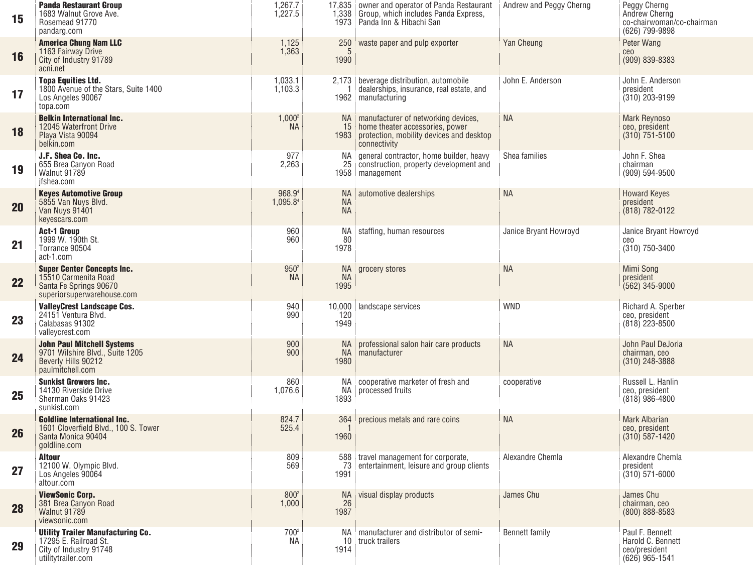| 15 | <b>Panda Restaurant Group</b><br>1683 Walnut Grove Ave.<br>Rosemead 91770<br>pandarg.com                          | 1,267.7<br>1,227.5            |                                     | 17,835 owner and operator of Panda Restaurant<br>1,338 Group, which includes Panda Express,<br>1973 Panda Inn & Hibachi San                     | Andrew and Peggy Cherng | Peggy Cherng<br>Andrew Cherng<br>co-chairwoman/co-chairman<br>(626) 799-9898 |
|----|-------------------------------------------------------------------------------------------------------------------|-------------------------------|-------------------------------------|-------------------------------------------------------------------------------------------------------------------------------------------------|-------------------------|------------------------------------------------------------------------------|
| 16 | <b>America Chung Nam LLC</b><br>1163 Fairway Drive<br>City of Industry 91789<br>acni.net                          | 1,125<br>1,363                | 250<br>5<br>1990                    | waste paper and pulp exporter                                                                                                                   | Yan Cheung              | Peter Wang<br>ceo<br>(909) 839-8383                                          |
| 17 | <b>Topa Equities Ltd.</b><br>1800 Avenue of the Stars, Suite 1400<br>Los Angeles 90067<br>topa.com                | 1,033.1<br>1,103.3            |                                     | 2,173 beverage distribution, automobile<br>dealerships, insurance, real estate, and<br>1962 manufacturing                                       | John E. Anderson        | John E. Anderson<br>president<br>$(310)$ 203-9199                            |
| 18 | <b>Belkin International Inc.</b><br>12045 Waterfront Drive<br>Playa Vista 90094<br>belkin.com                     | $1,000^2$<br><b>NA</b>        |                                     | NA   manufacturer of networking devices,<br>15 home theater accessories, power<br>1983 protection, mobility devices and desktop<br>connectivity | <b>NA</b>               | <b>Mark Reynoso</b><br>ceo, president<br>$(310) 751 - 5100$                  |
| 19 | J.F. Shea Co. Inc.<br>655 Brea Canyon Road<br>Walnut 91789<br>ifshea.com                                          | 977<br>2,263                  | NA .                                | general contractor, home builder, heavy<br>25 construction, property development and<br>1958 management                                         | Shea families           | John F. Shea<br>chairman<br>(909) 594-9500                                   |
| 20 | <b>Keyes Automotive Group</b><br>5855 Van Nuys Blvd.<br>Van Nuys 91401<br>keyescars.com                           | 968.94<br>1,095.84            | <b>NA</b><br><b>NA</b><br><b>NA</b> | automotive dealerships                                                                                                                          | <b>NA</b>               | <b>Howard Keyes</b><br>president<br>$(818) 782 - 0122$                       |
| 21 | <b>Act-1 Group</b><br>1999 W. 190th St.<br>Torrance 90504<br>act-1.com                                            | 960<br>960                    | NA<br>80<br>1978                    | staffing, human resources                                                                                                                       | Janice Bryant Howroyd   | Janice Bryant Howroyd<br>ceo<br>(310) 750-3400                               |
| 22 | <b>Super Center Concepts Inc.</b><br>15510 Carmenita Road<br>Santa Fe Springs 90670<br>superiorsuperwarehouse.com | 950 <sup>2</sup><br><b>NA</b> | <b>NA</b><br><b>NA</b><br>1995      | grocery stores                                                                                                                                  | <b>NA</b>               | Mimi Song<br>president<br>$(562)$ 345-9000                                   |
| 23 | <b>ValleyCrest Landscape Cos.</b><br>24151 Ventura Blvd.<br>Calabasas 91302<br>valleycrest.com                    | 940<br>990                    | 10,000<br>120<br>1949               | landscape services                                                                                                                              | <b>WND</b>              | Richard A. Sperber<br>ceo, president<br>$(818)$ 223-8500                     |
| 24 | <b>John Paul Mitchell Systems</b><br>9701 Wilshire Blvd., Suite 1205<br>Beverly Hills 90212<br>paulmitchell.com   | 900<br>900                    | NA.<br>NA<br>1980                   | professional salon hair care products<br>manufacturer                                                                                           | <b>NA</b>               | John Paul DeJoria<br>chairman, ceo<br>$(310)$ 248-3888                       |
| 25 | <b>Sunkist Growers Inc.</b><br>14130 Riverside Drive<br>Sherman Oaks 91423<br>sunkist.com                         | 860<br>1,076.6                | 1893                                | NA cooperative marketer of fresh and<br>NA processed fruits                                                                                     | cooperative             | Russell L. Hanlin<br>ceo, president<br>$(818)$ 986-4800                      |
| 26 | <b>Goldline International Inc.</b><br>1601 Cloverfield Blvd., 100 S. Tower<br>Santa Monica 90404<br>goldline.com  | 824.7<br>525.4                | 364<br>1960                         | precious metals and rare coins                                                                                                                  | <b>NA</b>               | <b>Mark Albarian</b><br>ceo, president<br>$(310)$ 587-1420                   |
| 27 | <b>Altour</b><br>12100 W. Olympic Blvd.<br>Los Angeles 90064<br>altour.com                                        | 809<br>569                    | 1991                                | 588 travel management for corporate,<br>73 entertainment, leisure and group clients                                                             | Alexandre Chemla        | Alexandre Chemla<br>president<br>$(310) 571 - 6000$                          |
| 28 | <b>ViewSonic Corp.</b><br>381 Brea Canvon Road<br>Walnut 91789<br>viewsonic.com                                   | 800 <sup>2</sup><br>1,000     | NA 1<br>26<br>1987                  | visual display products                                                                                                                         | James Chu               | James Chu<br>chairman, ceo<br>$(800) 888 - 8583$                             |
| 29 | <b>Utility Trailer Manufacturing Co.</b><br>17295 E. Railroad St.<br>City of Industry 91748<br>utilitytrailer.com | 700 <sup>2</sup><br>NA        | 1914                                | NA manufacturer and distributor of semi-<br>10 truck trailers                                                                                   | Bennett family          | Paul F. Bennett<br>Harold C. Bennett<br>ceo/president<br>$(626)$ 965-1541    |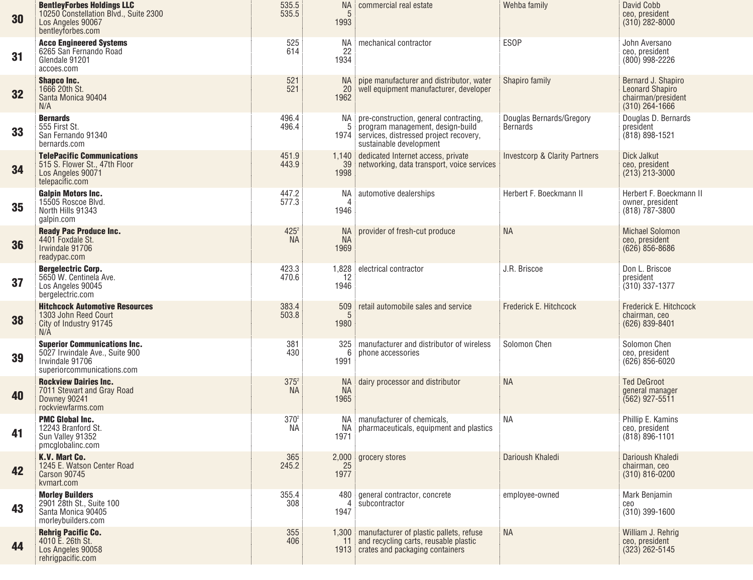| 30 | <b>BentleyForbes Holdings LLC</b><br>10250 Constellation Blvd., Suite 2300<br>Los Angeles 90067<br>bentleyforbes.com   | 535.5<br>535.5                | NA !<br>5<br>1993       | commercial real estate                                                                                                                             | Wehba family                                | David Cobb<br>ceo, president<br>$(310)$ 282-8000                                       |
|----|------------------------------------------------------------------------------------------------------------------------|-------------------------------|-------------------------|----------------------------------------------------------------------------------------------------------------------------------------------------|---------------------------------------------|----------------------------------------------------------------------------------------|
| 31 | <b>Acco Engineered Systems</b><br>6265 San Fernando Road<br>Glendale 91201<br>accoes.com                               | 525<br>614                    | NA<br>22<br>1934        | mechanical contractor                                                                                                                              | <b>ESOP</b>                                 | John Aversano<br>ceo, president<br>$(800)$ 998-2226                                    |
| 32 | <b>Shapco Inc.</b><br>1666 20th St.<br>Santa Monica 90404<br>N/A                                                       | 521<br>521                    | NA.<br>20<br>1962       | pipe manufacturer and distributor, water<br>well equipment manufacturer, developer                                                                 | Shapiro family                              | Bernard J. Shapiro<br><b>Leonard Shapiro</b><br>chairman/president<br>$(310)$ 264-1666 |
| 33 | <b>Bernards</b><br>555 First St.<br>San Fernando 91340<br>bernards.com                                                 | 496.4<br>496.4                | 5<br>1974               | NA pre-construction, general contracting,<br>program management, design-build<br>services, distressed project recovery,<br>sustainable development | Douglas Bernards/Gregory<br><b>Bernards</b> | Douglas D. Bernards<br>president<br>(818) 898-1521                                     |
| 34 | <b>TelePacific Communications</b><br>515 S. Flower St., 47th Floor<br>Los Angeles 90071<br>telepacific.com             | 451.9<br>443.9                | 39<br>1998              | 1,140 dedicated Internet access, private<br>networking, data transport, voice services                                                             | <b>Investcorp &amp; Clarity Partners</b>    | Dick Jalkut<br>ceo, president<br>$(213)$ 213-3000                                      |
| 35 | <b>Galpin Motors Inc.</b><br>15505 Roscoe Blvd.<br>North Hills 91343<br>galpin.com                                     | 447.2<br>577.3                | NA !<br>4<br>1946       | automotive dealerships                                                                                                                             | Herbert F. Boeckmann II                     | Herbert F. Boeckmann II<br>owner, president<br>$(818)$ 787-3800                        |
| 36 | <b>Ready Pac Produce Inc.</b><br>4401 Foxdale St.<br>Irwindale 91706<br>readypac.com                                   | $425^2$<br><b>NA</b>          | NA<br><b>NA</b><br>1969 | provider of fresh-cut produce                                                                                                                      | <b>NA</b>                                   | <b>Michael Solomon</b><br>ceo, president<br>$(626)$ 856-8686                           |
| 37 | <b>Bergelectric Corp.</b><br>5650 W. Centinela Ave.<br>Los Angeles 90045<br>bergelectric.com                           | 423.3<br>470.6                | 1,828<br>12<br>1946     | electrical contractor                                                                                                                              | J.R. Briscoe                                | Don L. Briscoe<br>president<br>$(310)$ 337-1377                                        |
| 38 | <b>Hitchcock Automotive Resources</b><br>1303 John Reed Court<br>City of Industry 91745<br>N/A                         | 383.4<br>503.8                | 509<br>5<br>1980        | retail automobile sales and service                                                                                                                | Frederick E. Hitchcock                      | Frederick E. Hitchcock<br>chairman, ceo<br>(626) 839-8401                              |
| 39 | <b>Superior Communications Inc.</b><br>5027 Irwindale Ave., Suite 900<br>Irwindale 91706<br>superiorcommunications.com | 381<br>430                    | 6<br>1991               | 325 manufacturer and distributor of wireless<br>phone accessories                                                                                  | Solomon Chen                                | Solomon Chen<br>ceo, president<br>$(626)$ 856-6020                                     |
| 40 | <b>Rockview Dairies Inc.</b><br>7011 Stewart and Gray Road<br>Downey 90241<br>rockviewfarms.com                        | $375^2$<br><b>NA</b>          | NA<br><b>NA</b><br>1965 | dairy processor and distributor                                                                                                                    | <b>NA</b>                                   | <b>Ted DeGroot</b><br>general manager<br>(562) 927-5511                                |
| 41 | <b>PMC Global Inc.</b><br>12243 Branford St.<br>Sun Valley 91352<br>pmcglobalinc.com                                   | 370 <sup>2</sup><br><b>NA</b> | NA<br>1971              | NA manufacturer of chemicals,<br>pharmaceuticals, equipment and plastics                                                                           | NA                                          | Phillip E. Kamins<br>ceo, president<br>$(818) 896 - 1101$                              |
| 42 | K.V. Mart Co.<br>1245 E. Watson Center Road<br><b>Carson 90745</b><br>kvmart.com                                       | 365<br>245.2                  | 25<br>1977              | 2,000 grocery stores                                                                                                                               | Darioush Khaledi                            | Darioush Khaledi<br>chairman, ceo<br>$(310) 816 - 0200$                                |
| 43 | <b>Morley Builders</b><br>2901 28th St., Suite 100<br>Santa Monica 90405<br>morleybuilders.com                         | 355.4<br>308                  | 4<br>1947               | 480 general contractor, concrete<br>subcontractor                                                                                                  | employee-owned                              | Mark Benjamin<br>ceo<br>(310) 399-1600                                                 |
| 44 | <b>Rehrig Pacific Co.</b><br>4010 E. 26th St.<br>Los Angeles 90058<br>rehrigpacific.com                                | 355<br>406                    | 11                      | 1,300 manufacturer of plastic pallets, refuse<br>and recycling carts, reusable plastic<br>1913 crates and packaging containers                     | <b>NA</b>                                   | William J. Rehrig<br>ceo, president<br>$(323)$ 262-5145                                |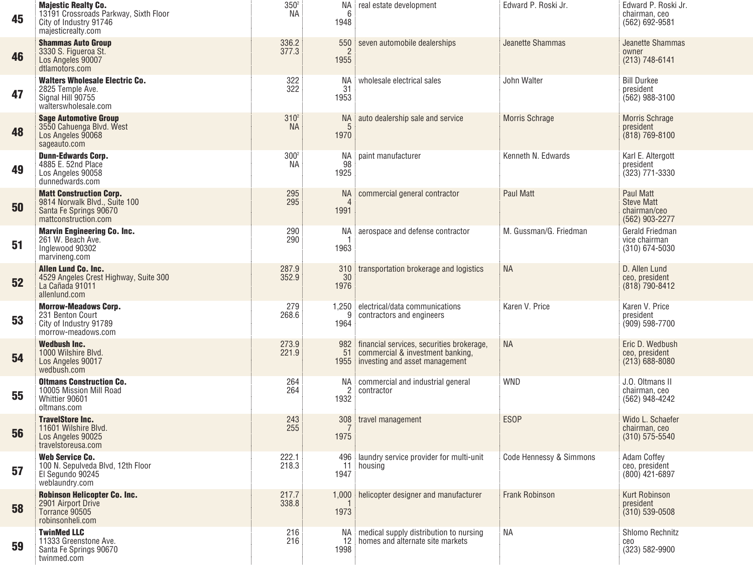| 45 | <b>Majestic Realty Co.</b><br>13191 Crossroads Parkway, Sixth Floor<br>City of Industry 91746<br>majesticrealty.com | $350^{\circ}$<br><b>NA</b>    | NA :<br>6<br>1948             | real estate development                                                                                               | Edward P. Roski Jr.                | Edward P. Roski Jr.<br>chairman, ceo<br>(562) 692-9581           |
|----|---------------------------------------------------------------------------------------------------------------------|-------------------------------|-------------------------------|-----------------------------------------------------------------------------------------------------------------------|------------------------------------|------------------------------------------------------------------|
| 46 | <b>Shammas Auto Group</b><br>3330 S. Figueroa St.<br>Los Angeles 90007<br>dtlamotors.com                            | 336.2<br>377.3                | 550<br>$\overline{2}$<br>1955 | seven automobile dealerships                                                                                          | Jeanette Shammas                   | Jeanette Shammas<br>owner<br>(213) 748-6141                      |
| 47 | <b>Walters Wholesale Electric Co.</b><br>2825 Temple Ave.<br>Signal Hill 90755<br>walterswholesale.com              | 322<br>322                    | NА<br>31<br>1953              | wholesale electrical sales                                                                                            | John Walter                        | <b>Bill Durkee</b><br>president<br>$(562)$ 988-3100              |
| 48 | <b>Sage Automotive Group</b><br>3550 Cahuenga Blvd. West<br>Los Angeles 90068<br>sageauto.com                       | 310 <sup>2</sup><br><b>NA</b> | <b>NA</b><br>1970             | auto dealership sale and service                                                                                      | <b>Morris Schrage</b>              | <b>Morris Schrage</b><br>president<br>$(818) 769 - 8100$         |
| 49 | <b>Dunn-Edwards Corp.</b><br>4885 E. 52nd Place<br>Los Angeles 90058<br>dunnedwards.com                             | 300 <sup>2</sup><br>NA.       | ΝA<br>98<br>1925              | paint manufacturer                                                                                                    | Kenneth N. Edwards                 | Karl E. Altergott<br>president<br>$(323)$ 771-3330               |
| 50 | <b>Matt Construction Corp.</b><br>9814 Norwalk Blvd., Suite 100<br>Santa Fe Springs 90670<br>mattconstruction.com   | 295<br>295                    | <b>NA</b><br>1991             | commercial general contractor                                                                                         | <b>Paul Matt</b>                   | Paul Matt<br><b>Steve Matt</b><br>chairman/ceo<br>(562) 903-2277 |
| 51 | <b>Marvin Engineering Co. Inc.</b><br>261 W. Beach Ave.<br>Inglewood 90302<br>marvineng.com                         | 290<br>290                    | ΝA<br>1963                    | aerospace and defense contractor                                                                                      | M. Gussman/G. Friedman             | Gerald Friedman<br>vice chairman<br>$(310) 674 - 5030$           |
| 52 | Allen Lund Co. Inc.<br>4529 Angeles Crest Highway, Suite 300<br>La Cañada 91011<br>allenlund.com                    | 287.9<br>352.9                | 310<br>30<br>1976             | transportation brokerage and logistics                                                                                | <b>NA</b>                          | D. Allen Lund<br>ceo, president<br>(818) 790-8412                |
| 53 | <b>Morrow-Meadows Corp.</b><br>231 Benton Court<br>City of Industry 91789<br>morrow-meadows.com                     | 279<br>268.6                  | 1,250<br>g<br>1964            | electrical/data communications<br>contractors and engineers                                                           | Karen V. Price                     | Karen V. Price<br>president<br>$(909) 598 - 7700$                |
| 54 | <b>Wedbush Inc.</b><br>1000 Wilshire Blvd.<br>Los Angeles 90017<br>wedbush.com                                      | 273.9<br>221.9                | 51<br>1955                    | 982   financial services, securities brokerage,<br>commercial & investment banking,<br>investing and asset management | <b>NA</b>                          | Eric D. Wedbush<br>ceo, president<br>$(213)$ 688-8080            |
| 55 | <b>Oltmans Construction Co.</b><br>10005 Mission Mill Road<br>Whittier 90601<br>oltmans.com                         | 264<br>264                    | NA I<br>2<br>1932             | commercial and industrial general<br>contractor                                                                       | <b>WND</b>                         | J.O. Oltmans II<br>chairman, ceo<br>(562) 948-4242               |
| 56 | <b>TravelStore Inc.</b><br>11601 Wilshire Blvd.<br>Los Angeles 90025<br>travelstoreusa.com                          | 243<br>255                    | 308<br>1975                   | travel management                                                                                                     | <b>ESOP</b>                        | Wido L. Schaefer<br>chairman, ceo<br>$(310) 575 - 5540$          |
| 57 | <b>Web Service Co.</b><br>100 N. Sepulveda Blvd, 12th Floor<br>El Segundo 90245<br>weblaundry.com                   | 222.1<br>218.3                | 1947                          | 496   laundry service provider for multi-unit<br>11 housing                                                           | <b>Code Hennessy &amp; Simmons</b> | <b>Adam Coffey</b><br>ceo, president<br>$(800)$ 421-6897         |
| 58 | Robinson Helicopter Co. Inc.<br>2901 Airport Drive<br>Torrance 90505<br>robinsonheli.com                            | 217.7<br>338.8                | 1,000<br>1973                 | helicopter designer and manufacturer                                                                                  | <b>Frank Robinson</b>              | <b>Kurt Robinson</b><br>president<br>$(310) 539 - 0508$          |
| 59 | <b>TwinMed LLC</b><br>11333 Greenstone Ave.<br>Santa Fe Springs 90670<br>twinmed.com                                | 216<br>216                    | NA i<br>12<br>1998            | medical supply distribution to nursing<br>homes and alternate site markets                                            | <b>NA</b>                          | Shlomo Rechnitz<br>ceo<br>(323) 582-9900                         |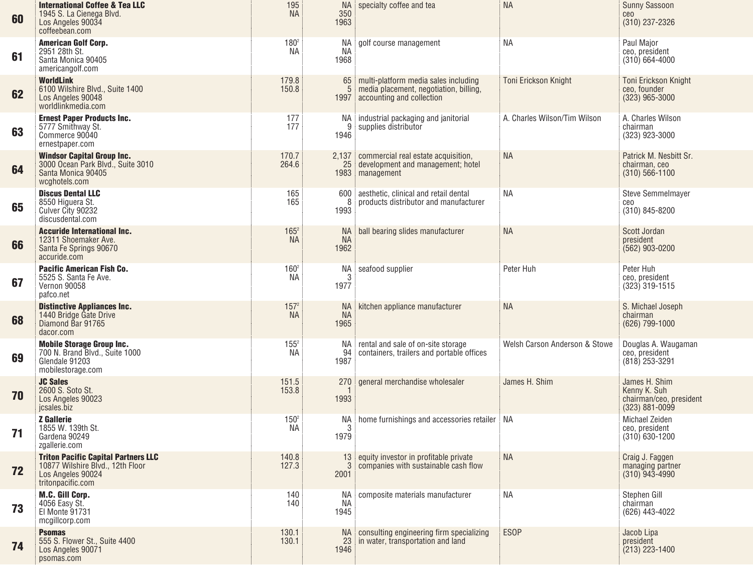| 60 | <b>International Coffee &amp; Tea LLC</b><br>1945 S. La Cienega Blvd.<br>Los Angeles 90034<br>coffeebean.com             | 195<br><b>NA</b>              | 350<br>1963              | NA specialty coffee and tea                                                                                 | <b>NA</b>                     | <b>Sunny Sassoon</b><br>ceo<br>(310) 237-2326                                  |
|----|--------------------------------------------------------------------------------------------------------------------------|-------------------------------|--------------------------|-------------------------------------------------------------------------------------------------------------|-------------------------------|--------------------------------------------------------------------------------|
| 61 | American Golf Corp.<br>2951 28th St.<br>Santa Monica 90405<br>americangolf.com                                           | $180^{2}$<br>NA.              | NA.<br><b>NA</b><br>1968 | golf course management                                                                                      | NA                            | Paul Major<br>ceo, president<br>$(310)$ 664-4000                               |
| 62 | <b>WorldLink</b><br>6100 Wilshire Blvd., Suite 1400<br>Los Angeles 90048<br>worldlinkmedia.com                           | 179.8<br>150.8                | 65:<br>1997              | multi-platform media sales including<br>media placement, negotiation, billing,<br>accounting and collection | <b>Toni Erickson Knight</b>   | Toni Erickson Knight<br>ceo, founder<br>$(323)$ 965-3000                       |
| 63 | <b>Ernest Paper Products Inc.</b><br>5777 Smithway St.<br>Commerce 90040<br>ernestpaper.com                              | 177<br>177                    | 9<br>1946                | NA industrial packaging and janitorial<br>supplies distributor                                              | A. Charles Wilson/Tim Wilson  | A. Charles Wilson<br>chairman<br>(323) 923-3000                                |
| 64 | <b>Windsor Capital Group Inc.</b><br>3000 Ocean Park Blvd., Suite 3010<br>Santa Monica 90405<br>wcghotels.com            | 170.7<br>264.6                |                          | 2,137 commercial real estate acquisition,<br>25 development and management; hotel<br>1983 management        | <b>NA</b>                     | Patrick M. Nesbitt Sr.<br>chairman, ceo<br>$(310) 566 - 1100$                  |
| 65 | <b>Discus Dental LLC</b><br>8550 Higuera St.<br>Culver City 90232<br>discusdental.com                                    | 165<br>165                    | 600<br>8<br>1993         | aesthetic, clinical and retail dental<br>products distributor and manufacturer                              | NA                            | Steve Semmelmayer<br>ceo<br>(310) 845-8200                                     |
| 66 | <b>Accuride International Inc.</b><br>12311 Shoemaker Ave.<br>Santa Fe Springs 90670<br>accuride.com                     | $165^2$<br><b>NA</b>          | NA.<br>NA<br>1962        | ball bearing slides manufacturer                                                                            | <b>NA</b>                     | Scott Jordan<br>president<br>$(562)$ 903-0200                                  |
| 67 | <b>Pacific American Fish Co.</b><br>5525 S. Santa Fe Ave.<br>Vernon 90058<br>pafco.net                                   | $160^2$<br>NA.                | NA<br>3<br>1977          | seafood supplier                                                                                            | Peter Huh                     | Peter Huh<br>ceo, president<br>$(323)$ 319-1515                                |
| 68 | <b>Distinctive Appliances Inc.</b><br>1440 Bridge Gate Drive<br>Diamond Bar 91765<br>dacor.com                           | 157 <sup>2</sup><br><b>NA</b> | NA.<br>NA<br>1965        | kitchen appliance manufacturer                                                                              | <b>NA</b>                     | S. Michael Joseph<br>chairman<br>(626) 799-1000                                |
| 69 | <b>Mobile Storage Group Inc.</b><br>700 N. Brand Blvd., Suite 1000<br>Glendale 91203<br>mobilestorage.com                | $155^2$<br>NA.                | NA I<br>94<br>1987       | rental and sale of on-site storage<br>containers, trailers and portable offices                             | Welsh Carson Anderson & Stowe | Douglas A. Waugaman<br>ceo, president<br>$(818)$ 253-3291                      |
| 70 | <b>JC Sales</b><br>2600 S. Soto St.<br>Los Angeles 90023<br>jcsales.biz                                                  | 151.5<br>153.8                | 270<br>1993              | general merchandise wholesaler                                                                              | James H. Shim                 | James H. Shim<br>Kenny K. Suh<br>chairman/ceo, president<br>$(323) 881 - 0099$ |
| 71 | <b>Z</b> Gallerie<br>1855 W. 139th St.<br>Gardena 90249<br>zgallerie.com                                                 | $150^2$<br>NA.                | NA :<br>3<br>1979        | home furnishings and accessories retailer   NA                                                              |                               | <b>Michael Zeiden</b><br>ceo, president<br>$(310)$ 630-1200                    |
| 72 | <b>Triton Pacific Capital Partners LLC</b><br>10877 Wilshire Blvd., 12th Floor<br>Los Angeles 90024<br>tritonpacific.com | 140.8<br>127.3                | 3 <sup>3</sup><br>2001   | 13 equity investor in profitable private<br>companies with sustainable cash flow                            | <b>NA</b>                     | Craig J. Faggen<br>managing partner<br>$(310)$ 943-4990                        |
| 73 | M.C. Gill Corp.<br>4056 Easy St.<br>El Monte 91731<br>mcgillcorp.com                                                     | 140<br>140                    | NA :<br>ΝA<br>1945       | composite materials manufacturer                                                                            | <b>NA</b>                     | Stephen Gill<br>chairman<br>(626) 443-4022                                     |
| 74 | <b>Psomas</b><br>555 S. Flower St., Suite 4400<br>Los Angeles 90071<br>psomas.com                                        | 130.1<br>130.1                | NA 1<br>23<br>1946       | consulting engineering firm specializing<br>in water, transportation and land                               | <b>ESOP</b>                   | Jacob Lipa<br>president<br>$(213)$ 223-1400                                    |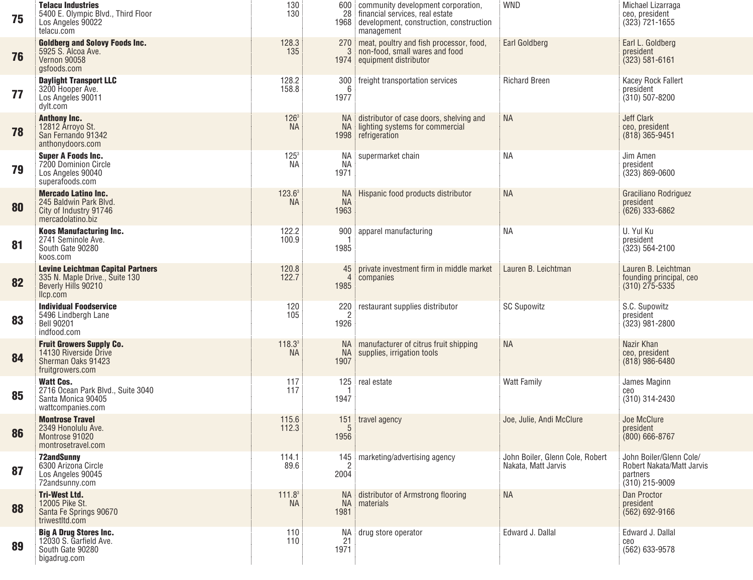| 75 | <b>Telacu Industries</b><br>5400 E. Olympic Blvd., Third Floor<br>Los Angeles 90022<br>telacu.com             | 130<br>130                      |                                | 600 community development corporation,<br>28 financial services, real estate<br>1968 development, construction, construction<br>management | <b>WND</b>                                             | Michael Lizarraga<br>ceo, president<br>$(323)$ 721-1655                              |
|----|---------------------------------------------------------------------------------------------------------------|---------------------------------|--------------------------------|--------------------------------------------------------------------------------------------------------------------------------------------|--------------------------------------------------------|--------------------------------------------------------------------------------------|
| 76 | <b>Goldberg and Solovy Foods Inc.</b><br>5925 S. Alcoa Ave.<br>Vernon 90058<br>gsfoods.com                    | 128.3<br>135                    |                                | 270 meat, poultry and fish processor, food,<br>non-food, small wares and food<br>1974 equipment distributor                                | <b>Earl Goldberg</b>                                   | Earl L. Goldberg<br>president<br>$(323) 581 - 6161$                                  |
| 77 | <b>Daylight Transport LLC</b><br>3200 Hooper Ave.<br>Los Angeles 90011<br>dylt.com                            | 128.2<br>158.8                  | 300<br>6<br>1977               | freight transportation services                                                                                                            | <b>Richard Breen</b>                                   | Kacey Rock Fallert<br>president<br>$(310) 507 - 8200$                                |
| 78 | <b>Anthony Inc.</b><br>12812 Arroyo St.<br>San Fernando 91342<br>anthonydoors.com                             | 126 <sup>3</sup><br><b>NA</b>   | NA.<br><b>NA</b>               | distributor of case doors, shelving and<br>lighting systems for commercial<br>1998 refrigeration                                           | <b>NA</b>                                              | <b>Jeff Clark</b><br>ceo, president<br>$(818)$ 365-9451                              |
| 79 | <b>Super A Foods Inc.</b><br>7200 Dominion Circle<br>Los Angeles 90040<br>superafoods.com                     | $125^{3}$<br><b>NA</b>          | ΝA<br><b>NA</b><br>1971        | supermarket chain                                                                                                                          | <b>NA</b>                                              | Jim Amen<br>president<br>$(323) 869 - 0600$                                          |
| 80 | <b>Mercado Latino Inc.</b><br>245 Baldwin Park Blvd.<br>City of Industry 91746<br>mercadolatino.biz           | $123.6^3$<br><b>NA</b>          | <b>NA</b><br><b>NA</b><br>1963 | Hispanic food products distributor                                                                                                         | <b>NA</b>                                              | Graciliano Rodriguez<br>president<br>$(626)$ 333-6862                                |
| 81 | <b>Koos Manufacturing Inc.</b><br>2741 Seminole Ave.<br>South Gate 90280<br>koos.com                          | 122.2<br>100.9                  | 900<br>1985                    | apparel manufacturing                                                                                                                      | <b>NA</b>                                              | U. Yul Ku<br>president<br>$(323) 564 - 2100$                                         |
| 82 | <b>Levine Leichtman Capital Partners</b><br>335 N. Maple Drive., Suite 130<br>Beverly Hills 90210<br>llcp.com | 120.8<br>122.7                  | 45<br>$\overline{4}$<br>1985   | private investment firm in middle market<br>companies                                                                                      | Lauren B. Leichtman                                    | Lauren B. Leichtman<br>founding principal, ceo<br>$(310)$ $275 - 5335$               |
| 83 | <b>Individual Foodservice</b><br>5496 Lindbergh Lane<br><b>Bell 90201</b><br>indfood.com                      | 120<br>105                      | 220<br>$\overline{2}$<br>1926  | restaurant supplies distributor                                                                                                            | <b>SC Supowitz</b>                                     | S.C. Supowitz<br>president<br>$(323)$ 981-2800                                       |
| 84 | <b>Fruit Growers Supply Co.</b><br>14130 Riverside Drive<br>Sherman Oaks 91423<br>fruitgrowers.com            | 118.3 <sup>3</sup><br><b>NA</b> | <b>NA</b><br><b>NA</b><br>1907 | manufacturer of citrus fruit shipping<br>supplies, irrigation tools                                                                        | <b>NA</b>                                              | Nazir Khan<br>ceo, president<br>$(818)$ 986-6480                                     |
| 85 | <b>Watt Cos.</b><br>2716 Ocean Park Blvd., Suite 3040<br>Santa Monica 90405<br>wattcompanies.com              | 117<br>117                      | 125<br>1947                    | real estate                                                                                                                                | <b>Watt Family</b>                                     | James Maginn<br>ceo<br>(310) 314-2430                                                |
| 86 | <b>Montrose Travel</b><br>2349 Honolulu Ave.<br>Montrose 91020<br>montrosetravel.com                          | 115.6<br>112.3                  | 151<br>5<br>1956               | travel agency                                                                                                                              | Joe, Julie, Andi McClure                               | Joe McClure<br>president<br>$(800)$ 666-8767                                         |
| 87 | <b>72andSunnv</b><br>6300 Arizona Circle<br>Los Angeles 90045<br>72andsunny.com                               | 114.1<br>89.6                   | 2<br>2004                      | 145 marketing/advertising agency                                                                                                           | John Boiler, Glenn Cole, Robert<br>Nakata, Matt Jarvis | John Boiler/Glenn Cole/<br>Robert Nakata/Matt Jarvis<br>partners<br>$(310)$ 215-9009 |
| 88 | <b>Tri-West Ltd.</b><br>12005 Pike St.<br>Santa Fe Springs 90670<br>triwestltd.com                            | 111.8 <sup>3</sup><br><b>NA</b> | <b>NA</b><br><b>NA</b><br>1981 | distributor of Armstrong flooring<br>materials                                                                                             | <b>NA</b>                                              | Dan Proctor<br>president<br>$(562) 692 - 9166$                                       |
| 89 | <b>Big A Drug Stores Inc.</b><br>12030 S. Garfield Ave.<br>South Gate 90280<br>bigadrug.com                   | 110<br>110                      | 21<br>1971                     | NA drug store operator                                                                                                                     | Edward J. Dallal                                       | Edward J. Dallal<br>ceo<br>(562) 633-9578                                            |